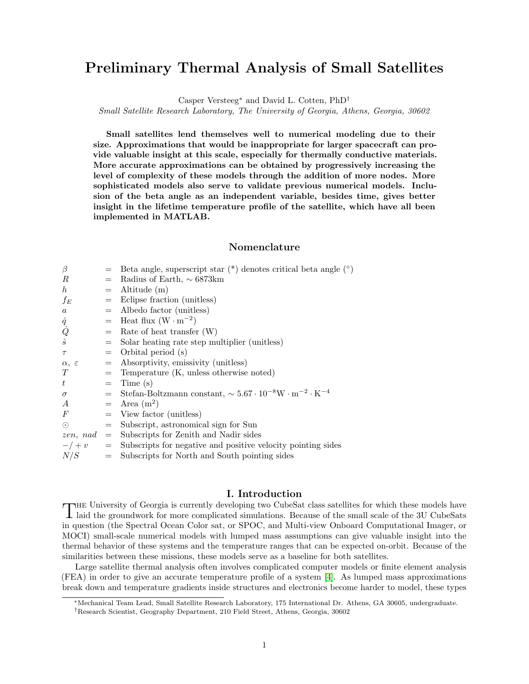# Preliminary Thermal Analysis of Small Satellites

Casper Versteeg<sup>∗</sup> and David L. Cotten, PhD†

Small Satellite Research Laboratory, The University of Georgia, Athens, Georgia, 30602

Small satellites lend themselves well to numerical modeling due to their size. Approximations that would be inappropriate for larger spacecraft can provide valuable insight at this scale, especially for thermally conductive materials. More accurate approximations can be obtained by progressively increasing the level of complexity of these models through the addition of more nodes. More sophisticated models also serve to validate previous numerical models. Inclusion of the beta angle as an independent variable, besides time, gives better insight in the lifetime temperature profile of the satellite, which have all been implemented in MATLAB.

# Nomenclature

| $\beta$                          |     | Beta angle, superscript star $(*)$ denotes critical beta angle $(*)$                                                                              |
|----------------------------------|-----|---------------------------------------------------------------------------------------------------------------------------------------------------|
| R                                |     | Radius of Earth, $\sim 6873 \text{km}$                                                                                                            |
| $\boldsymbol{h}$                 | $=$ | Altitude (m)                                                                                                                                      |
| $f_E$                            |     | $=$ Eclipse fraction (unitless)                                                                                                                   |
| $\it a$                          |     | $=$ Albedo factor (unitless)                                                                                                                      |
|                                  |     | $=$ Heat flux $(W \cdot m^{-2})$                                                                                                                  |
| $\frac{\dot{q}}{\dot{Q}}\hat{s}$ | $=$ | Rate of heat transfer $(W)$                                                                                                                       |
|                                  |     | $=$ Solar heating rate step multiplier (unitless)                                                                                                 |
| $\tau$                           |     | $=$ Orbital period (s)                                                                                                                            |
| $\alpha, \varepsilon$            |     | $=$ Absorptivity, emissivity (unitless)                                                                                                           |
| T                                |     | $=$ Temperature (K, unless otherwise noted)                                                                                                       |
| $t\,$                            |     | $=$ Time (s)                                                                                                                                      |
| $\sigma$                         |     | $\hspace{1.6cm} = \hspace{.4cm} \text{Stefan-Boltzmann constant}, \sim 5.67 \cdot 10^{-8} \mathrm{W} \cdot \mathrm{m}^{-2} \cdot \mathrm{K}^{-4}$ |
| $\boldsymbol{A}$                 |     | $=$ Area $(m^2)$                                                                                                                                  |
| $\,F$                            |     | $=$ View factor (unitless)                                                                                                                        |
| $\odot$                          |     | $=$ Subscript, astronomical sign for Sun                                                                                                          |
| $zen, nad =$                     |     | Subscripts for Zenith and Nadir sides                                                                                                             |
|                                  |     | $-\prime + v$ = Subscripts for negative and positive velocity pointing sides                                                                      |
| N/S                              | $=$ | Subscripts for North and South pointing sides                                                                                                     |
|                                  |     |                                                                                                                                                   |

## I. Introduction

THE University of Georgia is currently developing two CubeSat class satellites for which these models have laid the groundwork for more complicated simulations. Because of the small scale of the 3U CubeSats laid the groundwork for more complicated simulations. Because of the small scale of the 3U CubeSats in question (the Spectral Ocean Color sat, or SPOC, and Multi-view Onboard Computational Imager, or MOCI) small-scale numerical models with lumped mass assumptions can give valuable insight into the thermal behavior of these systems and the temperature ranges that can be expected on-orbit. Because of the similarities between these missions, these models serve as a baseline for both satellites.

Large satellite thermal analysis often involves complicated computer models or finite element analysis (FEA) in order to give an accurate temperature profile of a system [\[4\]](#page-8-0). As lumped mass approximations break down and temperature gradients inside structures and electronics become harder to model, these types

<sup>∗</sup>Mechanical Team Lead, Small Satellite Research Laboratory, 175 International Dr. Athens, GA 30605, undergraduate.

<sup>†</sup>Research Scientist, Geography Department, 210 Field Street, Athens, Georgia, 30602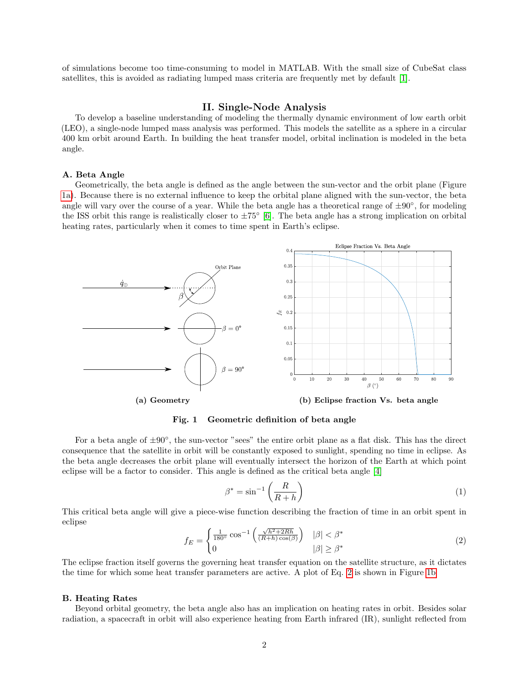of simulations become too time-consuming to model in MATLAB. With the small size of CubeSat class satellites, this is avoided as radiating lumped mass criteria are frequently met by default [\[1\]](#page-7-0).

#### II. Single-Node Analysis

To develop a baseline understanding of modeling the thermally dynamic environment of low earth orbit (LEO), a single-node lumped mass analysis was performed. This models the satellite as a sphere in a circular 400 km orbit around Earth. In building the heat transfer model, orbital inclination is modeled in the beta angle.

#### A. Beta Angle

Geometrically, the beta angle is defined as the angle between the sun-vector and the orbit plane (Figure [1a\)](#page-1-0). Because there is no external influence to keep the orbital plane aligned with the sun-vector, the beta angle will vary over the course of a year. While the beta angle has a theoretical range of  $\pm 90^\circ$ , for modeling the ISS orbit this range is realistically closer to  $\pm 75^{\circ}$  [\[6\]](#page-8-1). The beta angle has a strong implication on orbital heating rates, particularly when it comes to time spent in Earth's eclipse.

<span id="page-1-0"></span>

Fig. 1 Geometric definition of beta angle

For a beta angle of  $\pm 90^\circ$ , the sun-vector "sees" the entire orbit plane as a flat disk. This has the direct consequence that the satellite in orbit will be constantly exposed to sunlight, spending no time in eclipse. As the beta angle decreases the orbit plane will eventually intersect the horizon of the Earth at which point eclipse will be a factor to consider. This angle is defined as the critical beta angle [\[4\]](#page-8-0)

$$
\beta^* = \sin^{-1}\left(\frac{R}{R+h}\right) \tag{1}
$$

<span id="page-1-1"></span>This critical beta angle will give a piece-wise function describing the fraction of time in an orbit spent in eclipse

$$
f_E = \begin{cases} \frac{1}{180^\circ} \cos^{-1} \left( \frac{\sqrt{h^2 + 2Rh}}{(R+h)\cos(\beta)} \right) & |\beta| < \beta^*\\ 0 & |\beta| \ge \beta^* \end{cases}
$$
 (2)

The eclipse fraction itself governs the governing heat transfer equation on the satellite structure, as it dictates the time for which some heat transfer parameters are active. A plot of Eq. [2](#page-1-1) is shown in Figure [1b](#page-1-0)

#### B. Heating Rates

Beyond orbital geometry, the beta angle also has an implication on heating rates in orbit. Besides solar radiation, a spacecraft in orbit will also experience heating from Earth infrared (IR), sunlight reflected from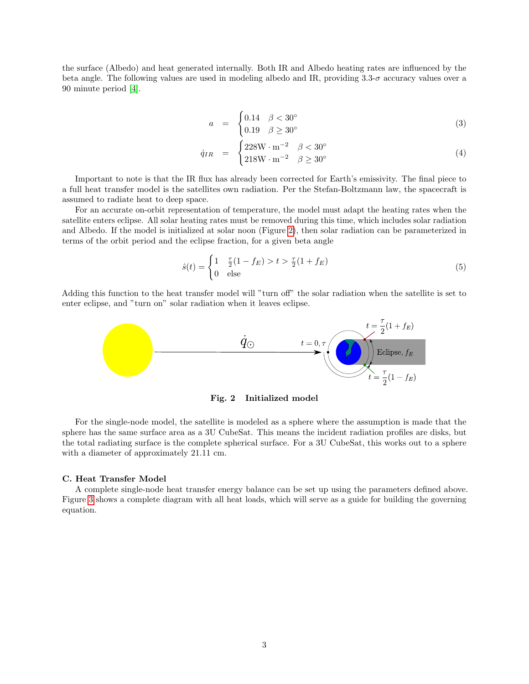the surface (Albedo) and heat generated internally. Both IR and Albedo heating rates are influenced by the beta angle. The following values are used in modeling albedo and IR, providing  $3.3-\sigma$  accuracy values over a 90 minute period [\[4\]](#page-8-0).

<span id="page-2-1"></span>
$$
a = \begin{cases} 0.14 & \beta < 30^{\circ} \\ 0.19 & \beta \ge 30^{\circ} \end{cases} \tag{3}
$$

$$
\dot{q}_{IR} = \begin{cases} 228 \text{W} \cdot \text{m}^{-2} & \beta < 30^{\circ} \\ 218 \text{W} \cdot \text{m}^{-2} & \beta \geq 30^{\circ} \end{cases} \tag{4}
$$

Important to note is that the IR flux has already been corrected for Earth's emissivity. The final piece to a full heat transfer model is the satellites own radiation. Per the Stefan-Boltzmann law, the spacecraft is assumed to radiate heat to deep space.

For an accurate on-orbit representation of temperature, the model must adapt the heating rates when the satellite enters eclipse. All solar heating rates must be removed during this time, which includes solar radiation and Albedo. If the model is initialized at solar noon (Figure [2\)](#page-2-0), then solar radiation can be parameterized in terms of the orbit period and the eclipse fraction, for a given beta angle

$$
\hat{s}(t) = \begin{cases} 1 & \frac{\tau}{2}(1 - f_E) > t > \frac{\tau}{2}(1 + f_E) \\ 0 & \text{else} \end{cases}
$$
(5)

<span id="page-2-0"></span>Adding this function to the heat transfer model will "turn off" the solar radiation when the satellite is set to enter eclipse, and "turn on" solar radiation when it leaves eclipse.



Fig. 2 Initialized model

For the single-node model, the satellite is modeled as a sphere where the assumption is made that the sphere has the same surface area as a 3U CubeSat. This means the incident radiation profiles are disks, but the total radiating surface is the complete spherical surface. For a 3U CubeSat, this works out to a sphere with a diameter of approximately 21.11 cm.

#### C. Heat Transfer Model

A complete single-node heat transfer energy balance can be set up using the parameters defined above. Figure [3](#page-3-0) shows a complete diagram with all heat loads, which will serve as a guide for building the governing equation.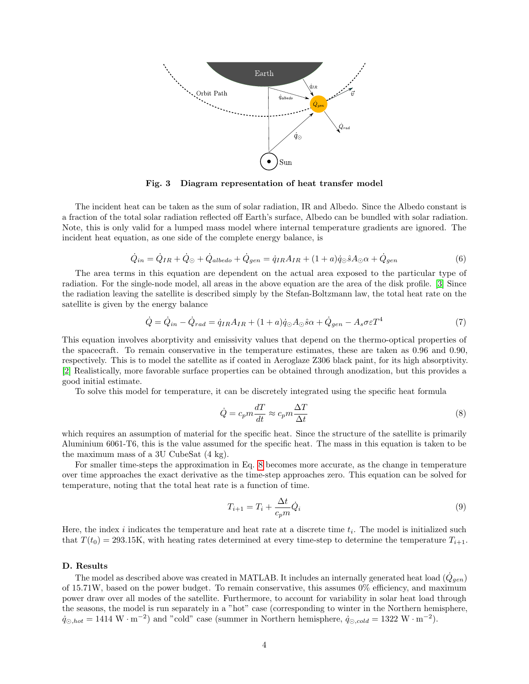<span id="page-3-0"></span>

Fig. 3 Diagram representation of heat transfer model

The incident heat can be taken as the sum of solar radiation, IR and Albedo. Since the Albedo constant is a fraction of the total solar radiation reflected off Earth's surface, Albedo can be bundled with solar radiation. Note, this is only valid for a lumped mass model where internal temperature gradients are ignored. The incident heat equation, as one side of the complete energy balance, is

$$
\dot{Q}_{in} = \dot{Q}_{IR} + \dot{Q}_{\odot} + \dot{Q}_{albedo} + \dot{Q}_{gen} = \dot{q}_{IR}A_{IR} + (1+a)\dot{q}_{\odot}\hat{s}A_{\odot}\alpha + \dot{Q}_{gen}
$$
\n(6)

The area terms in this equation are dependent on the actual area exposed to the particular type of radiation. For the single-node model, all areas in the above equation are the area of the disk profile. [\[3\]](#page-7-1) Since the radiation leaving the satellite is described simply by the Stefan-Boltzmann law, the total heat rate on the satellite is given by the energy balance

<span id="page-3-2"></span>
$$
\dot{Q} = \dot{Q}_{in} - \dot{Q}_{rad} = \dot{q}_{IR}A_{IR} + (1+a)\dot{q}_{\odot}A_{\odot}\hat{s}\alpha + \dot{Q}_{gen} - A_{s}\sigma\varepsilon T^{4}
$$
\n(7)

This equation involves aborptivity and emissivity values that depend on the thermo-optical properties of the spacecraft. To remain conservative in the temperature estimates, these are taken as 0.96 and 0.90, respectively. This is to model the satellite as if coated in Aeroglaze Z306 black paint, for its high absorptivity. [\[2\]](#page-7-2) Realistically, more favorable surface properties can be obtained through anodization, but this provides a good initial estimate.

To solve this model for temperature, it can be discretely integrated using the specific heat formula

<span id="page-3-1"></span>
$$
\dot{Q} = c_p m \frac{dT}{dt} \approx c_p m \frac{\Delta T}{\Delta t}
$$
\n(8)

which requires an assumption of material for the specific heat. Since the structure of the satellite is primarily Aluminium 6061-T6, this is the value assumed for the specific heat. The mass in this equation is taken to be the maximum mass of a 3U CubeSat (4 kg).

For smaller time-steps the approximation in Eq. [8](#page-3-1) becomes more accurate, as the change in temperature over time approaches the exact derivative as the time-step approaches zero. This equation can be solved for temperature, noting that the total heat rate is a function of time.

<span id="page-3-3"></span>
$$
T_{i+1} = T_i + \frac{\Delta t}{c_p m} \dot{Q}_i
$$
\n<sup>(9)</sup>

Here, the index  $i$  indicates the temperature and heat rate at a discrete time  $t_i$ . The model is initialized such that  $T(t_0) = 293.15$ K, with heating rates determined at every time-step to determine the temperature  $T_{i+1}$ .

#### D. Results

The model as described above was created in MATLAB. It includes an internally generated heat load  $(\dot{Q}_{gen})$ of 15.71W, based on the power budget. To remain conservative, this assumes 0% efficiency, and maximum power draw over all modes of the satellite. Furthermore, to account for variability in solar heat load through the seasons, the model is run separately in a "hot" case (corresponding to winter in the Northern hemisphere,  $\dot{q}_{\odot,hot} = 1414 \text{ W} \cdot \text{m}^{-2}$  and "cold" case (summer in Northern hemisphere,  $\dot{q}_{\odot,cold} = 1322 \text{ W} \cdot \text{m}^{-2}$ ).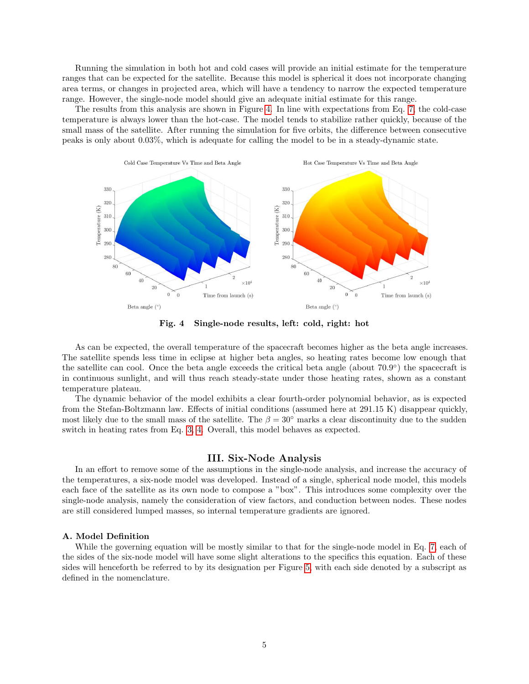Running the simulation in both hot and cold cases will provide an initial estimate for the temperature ranges that can be expected for the satellite. Because this model is spherical it does not incorporate changing area terms, or changes in projected area, which will have a tendency to narrow the expected temperature range. However, the single-node model should give an adequate initial estimate for this range.

The results from this analysis are shown in Figure [4.](#page-4-0) In line with expectations from Eq. [7,](#page-3-2) the cold-case temperature is always lower than the hot-case. The model tends to stabilize rather quickly, because of the small mass of the satellite. After running the simulation for five orbits, the difference between consecutive peaks is only about 0.03%, which is adequate for calling the model to be in a steady-dynamic state.

<span id="page-4-0"></span>

Fig. 4 Single-node results, left: cold, right: hot

As can be expected, the overall temperature of the spacecraft becomes higher as the beta angle increases. The satellite spends less time in eclipse at higher beta angles, so heating rates become low enough that the satellite can cool. Once the beta angle exceeds the critical beta angle (about 70.9°) the spacecraft is in continuous sunlight, and will thus reach steady-state under those heating rates, shown as a constant temperature plateau.

The dynamic behavior of the model exhibits a clear fourth-order polynomial behavior, as is expected from the Stefan-Boltzmann law. Effects of initial conditions (assumed here at 291.15 K) disappear quickly, most likely due to the small mass of the satellite. The  $\beta = 30^\circ$  marks a clear discontinuity due to the sudden switch in heating rates from Eq. [3, 4.](#page-2-1) Overall, this model behaves as expected.

#### III. Six-Node Analysis

In an effort to remove some of the assumptions in the single-node analysis, and increase the accuracy of the temperatures, a six-node model was developed. Instead of a single, spherical node model, this models each face of the satellite as its own node to compose a "box". This introduces some complexity over the single-node analysis, namely the consideration of view factors, and conduction between nodes. These nodes are still considered lumped masses, so internal temperature gradients are ignored.

# A. Model Definition

While the governing equation will be mostly similar to that for the single-node model in Eq. [7,](#page-3-2) each of the sides of the six-node model will have some slight alterations to the specifics this equation. Each of these sides will henceforth be referred to by its designation per Figure [5,](#page-5-0) with each side denoted by a subscript as defined in the nomenclature.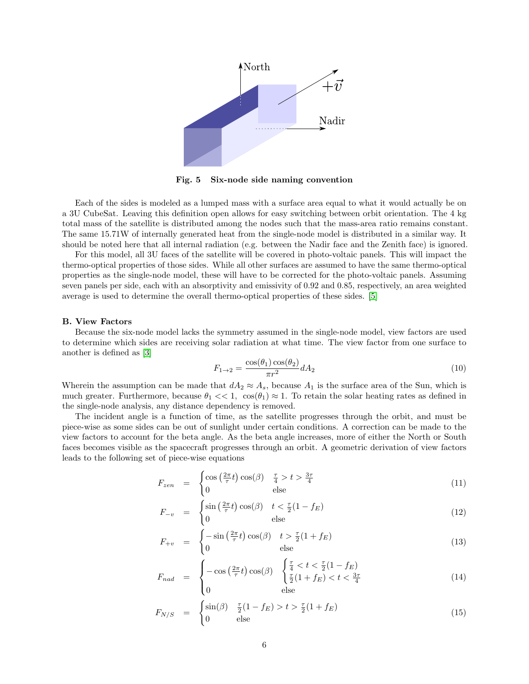<span id="page-5-0"></span>

Fig. 5 Six-node side naming convention

Each of the sides is modeled as a lumped mass with a surface area equal to what it would actually be on a 3U CubeSat. Leaving this definition open allows for easy switching between orbit orientation. The 4 kg total mass of the satellite is distributed among the nodes such that the mass-area ratio remains constant. The same 15.71W of internally generated heat from the single-node model is distributed in a similar way. It should be noted here that all internal radiation (e.g. between the Nadir face and the Zenith face) is ignored.

For this model, all 3U faces of the satellite will be covered in photo-voltaic panels. This will impact the thermo-optical properties of those sides. While all other surfaces are assumed to have the same thermo-optical properties as the single-node model, these will have to be corrected for the photo-voltaic panels. Assuming seven panels per side, each with an absorptivity and emissivity of 0.92 and 0.85, respectively, an area weighted average is used to determine the overall thermo-optical properties of these sides. [\[5\]](#page-8-2)

#### B. View Factors

Because the six-node model lacks the symmetry assumed in the single-node model, view factors are used to determine which sides are receiving solar radiation at what time. The view factor from one surface to another is defined as [\[3\]](#page-7-1)

$$
F_{1\rightarrow 2} = \frac{\cos(\theta_1)\cos(\theta_2)}{\pi r^2} dA_2
$$
\n
$$
(10)
$$

Wherein the assumption can be made that  $dA_2 \approx A_s$ , because  $A_1$  is the surface area of the Sun, which is much greater. Furthermore, because  $\theta_1 \ll 1$ ,  $\cos(\theta_1) \approx 1$ . To retain the solar heating rates as defined in the single-node analysis, any distance dependency is removed.

The incident angle is a function of time, as the satellite progresses through the orbit, and must be piece-wise as some sides can be out of sunlight under certain conditions. A correction can be made to the view factors to account for the beta angle. As the beta angle increases, more of either the North or South faces becomes visible as the spacecraft progresses through an orbit. A geometric derivation of view factors leads to the following set of piece-wise equations

$$
F_{zen} = \begin{cases} \cos\left(\frac{2\pi}{\tau}t\right)\cos(\beta) & \frac{\tau}{4} > t > \frac{3\tau}{4} \\ 0 & \text{else} \end{cases}
$$
(11)

$$
F_{-v} = \begin{cases} \sin\left(\frac{2\pi}{\tau}t\right)\cos(\beta) & t < \frac{\tau}{2}(1-f_E) \\ 0 & \text{else} \end{cases} \tag{12}
$$

$$
F_{+v} = \begin{cases} -\sin\left(\frac{2\pi}{\tau}t\right)\cos(\beta) & t > \frac{\tau}{2}(1+f_E) \\ 0 & \text{else} \end{cases} \tag{13}
$$

$$
F_{nad} = \begin{cases} -\cos\left(\frac{2\pi}{\tau}t\right)\cos(\beta) & \begin{cases} \frac{\tau}{4} < t < \frac{\tau}{2}(1-f_E) \\ \frac{\tau}{2}(1+f_E) < t < \frac{3\tau}{4} \end{cases} \\ 0 & \text{else} \end{cases} \tag{14}
$$

$$
F_{N/S} = \begin{cases} \sin(\beta) & \frac{\tau}{2}(1 - f_E) > t > \frac{\tau}{2}(1 + f_E) \\ 0 & \text{else} \end{cases}
$$
(15)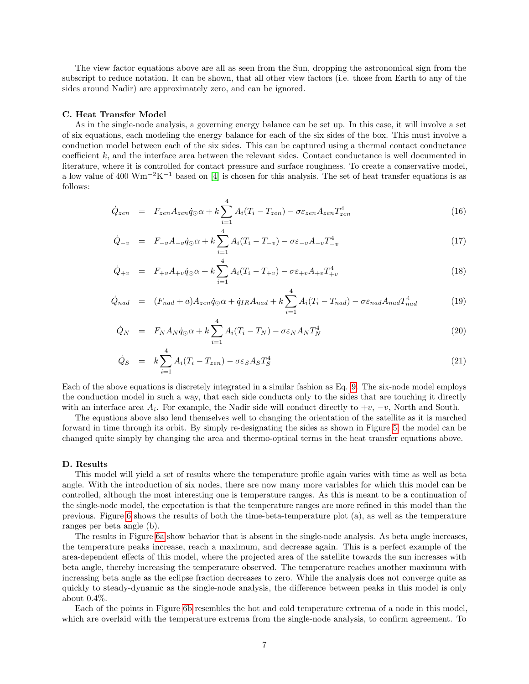The view factor equations above are all as seen from the Sun, dropping the astronomical sign from the subscript to reduce notation. It can be shown, that all other view factors (i.e. those from Earth to any of the sides around Nadir) are approximately zero, and can be ignored.

#### C. Heat Transfer Model

As in the single-node analysis, a governing energy balance can be set up. In this case, it will involve a set of six equations, each modeling the energy balance for each of the six sides of the box. This must involve a conduction model between each of the six sides. This can be captured using a thermal contact conductance coefficient k, and the interface area between the relevant sides. Contact conductance is well documented in literature, where it is controlled for contact pressure and surface roughness. To create a conservative model, a low value of 400 Wm<sup>-2</sup>K<sup>-1</sup> based on [\[4\]](#page-8-0) is chosen for this analysis. The set of heat transfer equations is as follows:

$$
\dot{Q}_{zen} = F_{zen} A_{zen} \dot{q}_{\odot} \alpha + k \sum_{i=1}^{4} A_i (T_i - T_{zen}) - \sigma \varepsilon_{zen} A_{zen} T_{zen}^4 \tag{16}
$$

$$
\dot{Q}_{-v} = F_{-v}A_{-v}\dot{q}_{\odot}\alpha + k\sum_{i=1}^{4}A_i(T_i - T_{-v}) - \sigma\varepsilon_{-v}A_{-v}T_{-v}^4
$$
\n(17)

$$
\dot{Q}_{+v} = F_{+v}A_{+v}\dot{q}_{\odot}\alpha + k \sum_{i=1}^{4} A_i (T_i - T_{+v}) - \sigma \varepsilon_{+v}A_{+v}T_{+v}^4
$$
\n(18)

$$
\dot{Q}_{nad} = (F_{nad} + a)A_{zen}\dot{q}_{\odot}\alpha + \dot{q}_{IR}A_{nad} + k\sum_{i=1}^{4} A_i(T_i - T_{nad}) - \sigma\varepsilon_{nad}A_{nad}T_{nad}^4 \tag{19}
$$

$$
\dot{Q}_N = F_N A_N \dot{q}_\odot \alpha + k \sum_{i=1}^4 A_i (T_i - T_N) - \sigma \varepsilon_N A_N T_N^4 \tag{20}
$$

$$
\dot{Q}_S = k \sum_{i=1}^{4} A_i (T_i - T_{zen}) - \sigma \varepsilon_S A_S T_S^4 \tag{21}
$$

Each of the above equations is discretely integrated in a similar fashion as Eq. [9.](#page-3-3) The six-node model employs the conduction model in such a way, that each side conducts only to the sides that are touching it directly with an interface area  $A_i$ . For example, the Nadir side will conduct directly to  $+v$ ,  $-v$ , North and South.

The equations above also lend themselves well to changing the orientation of the satellite as it is marched forward in time through its orbit. By simply re-designating the sides as shown in Figure [5,](#page-5-0) the model can be changed quite simply by changing the area and thermo-optical terms in the heat transfer equations above.

#### D. Results

This model will yield a set of results where the temperature profile again varies with time as well as beta angle. With the introduction of six nodes, there are now many more variables for which this model can be controlled, although the most interesting one is temperature ranges. As this is meant to be a continuation of the single-node model, the expectation is that the temperature ranges are more refined in this model than the previous. Figure [6](#page-7-3) shows the results of both the time-beta-temperature plot (a), as well as the temperature ranges per beta angle (b).

The results in Figure [6a](#page-7-3) show behavior that is absent in the single-node analysis. As beta angle increases, the temperature peaks increase, reach a maximum, and decrease again. This is a perfect example of the area-dependent effects of this model, where the projected area of the satellite towards the sun increases with beta angle, thereby increasing the temperature observed. The temperature reaches another maximum with increasing beta angle as the eclipse fraction decreases to zero. While the analysis does not converge quite as quickly to steady-dynamic as the single-node analysis, the difference between peaks in this model is only about 0.4%.

Each of the points in Figure [6b](#page-7-3) resembles the hot and cold temperature extrema of a node in this model, which are overlaid with the temperature extrema from the single-node analysis, to confirm agreement. To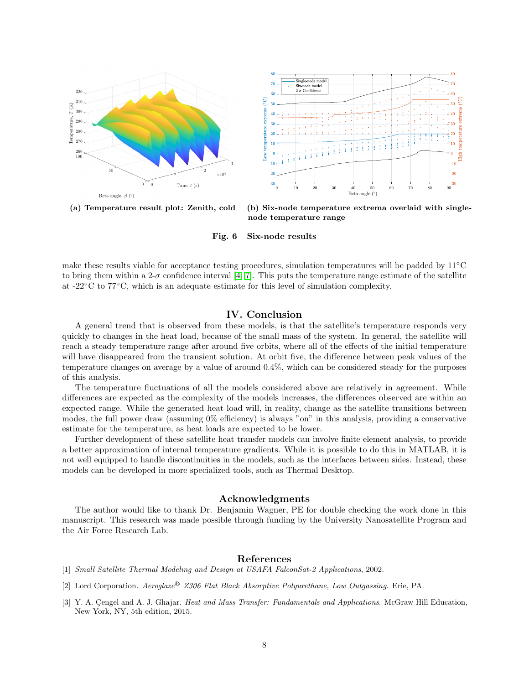<span id="page-7-3"></span>



(a) Temperature result plot: Zenith, cold (b) Six-node temperature extrema overlaid with singlenode temperature range

Fig. 6 Six-node results

make these results viable for acceptance testing procedures, simulation temperatures will be padded by 11◦C to bring them within a 2- $\sigma$  confidence interval [\[4,](#page-8-0) [7\]](#page-8-3). This puts the temperature range estimate of the satellite at -22◦C to 77◦C, which is an adequate estimate for this level of simulation complexity.

## IV. Conclusion

A general trend that is observed from these models, is that the satellite's temperature responds very quickly to changes in the heat load, because of the small mass of the system. In general, the satellite will reach a steady temperature range after around five orbits, where all of the effects of the initial temperature will have disappeared from the transient solution. At orbit five, the difference between peak values of the temperature changes on average by a value of around 0.4%, which can be considered steady for the purposes of this analysis.

The temperature fluctuations of all the models considered above are relatively in agreement. While differences are expected as the complexity of the models increases, the differences observed are within an expected range. While the generated heat load will, in reality, change as the satellite transitions between modes, the full power draw (assuming 0% efficiency) is always "on" in this analysis, providing a conservative estimate for the temperature, as heat loads are expected to be lower.

Further development of these satellite heat transfer models can involve finite element analysis, to provide a better approximation of internal temperature gradients. While it is possible to do this in MATLAB, it is not well equipped to handle discontinuities in the models, such as the interfaces between sides. Instead, these models can be developed in more specialized tools, such as Thermal Desktop.

## Acknowledgments

The author would like to thank Dr. Benjamin Wagner, PE for double checking the work done in this manuscript. This research was made possible through funding by the University Nanosatellite Program and the Air Force Research Lab.

#### References

- <span id="page-7-0"></span>[1] Small Satellite Thermal Modeling and Design at USAFA FalconSat-2 Applications, 2002.
- <span id="page-7-2"></span>[2] Lord Corporation. Aeroglaze<sup>®</sup> Z306 Flat Black Absorptive Polyurethane, Low Outgassing. Erie, PA.
- <span id="page-7-1"></span>[3] Y. A. Cengel and A. J. Ghajar. Heat and Mass Transfer: Fundamentals and Applications. McGraw Hill Education, New York, NY, 5th edition, 2015.